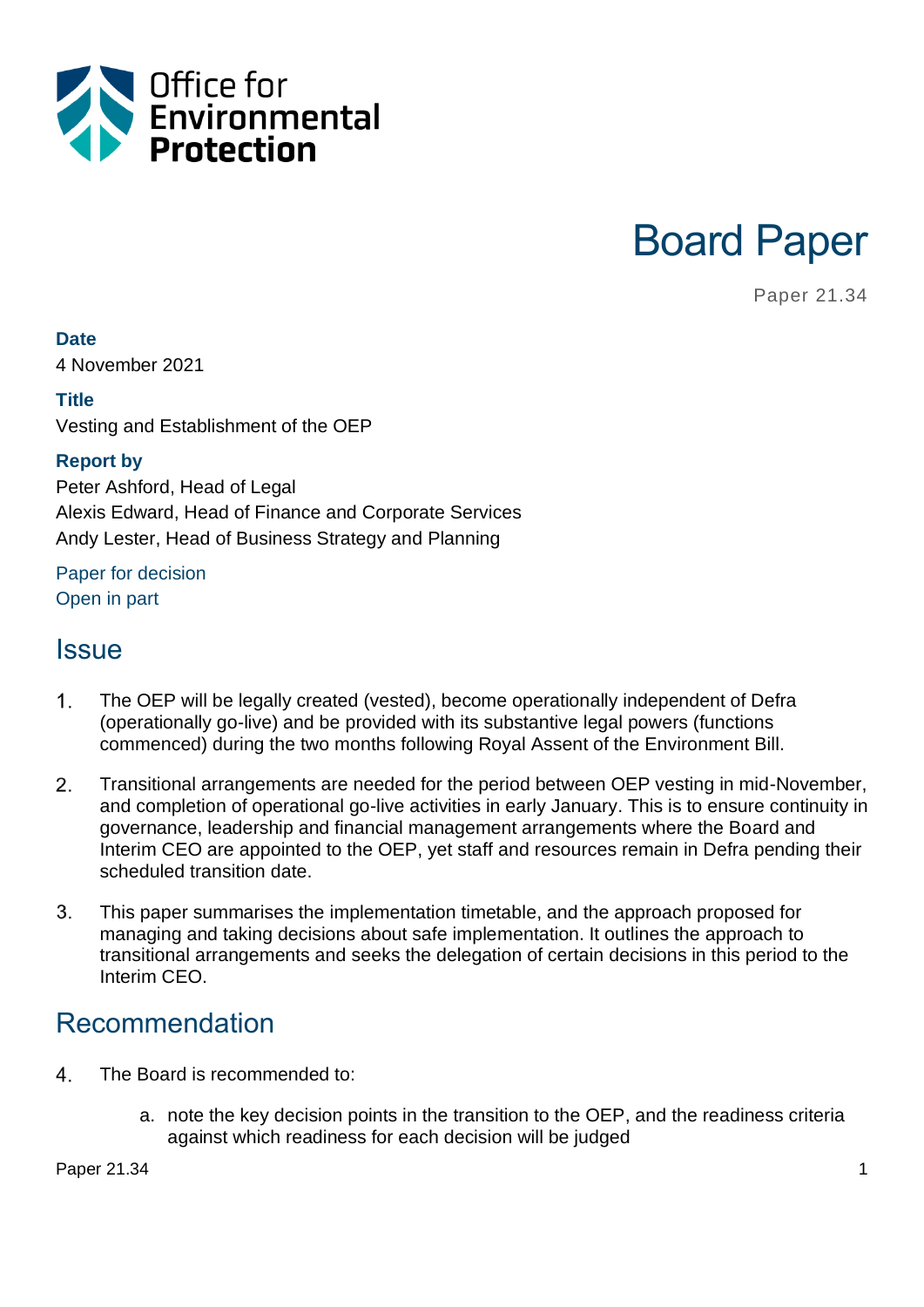

Board Paper

Paper 21.34

**Date**

4 November 2021

#### **Title**

Vesting and Establishment of the OEP

#### **Report by**

Peter Ashford, Head of Legal Alexis Edward, Head of Finance and Corporate Services Andy Lester, Head of Business Strategy and Planning

#### Paper for decision Open in part

### **Issue**

- $1<sub>1</sub>$ The OEP will be legally created (vested), become operationally independent of Defra (operationally go-live) and be provided with its substantive legal powers (functions commenced) during the two months following Royal Assent of the Environment Bill.
- $2.$ Transitional arrangements are needed for the period between OEP vesting in mid-November, and completion of operational go-live activities in early January. This is to ensure continuity in governance, leadership and financial management arrangements where the Board and Interim CEO are appointed to the OEP, yet staff and resources remain in Defra pending their scheduled transition date.
- This paper summarises the implementation timetable, and the approach proposed for  $3<sub>l</sub>$ managing and taking decisions about safe implementation. It outlines the approach to transitional arrangements and seeks the delegation of certain decisions in this period to the Interim CEO.

### Recommendation

- 4. The Board is recommended to:
	- a. note the key decision points in the transition to the OEP, and the readiness criteria against which readiness for each decision will be judged

Paper 21.34 1 and 21.34 1 and 21.34 and 22.5 and 22.5 and 22.5 and 22.5 and 22.5 and 22.5 and 22.5 and 22.5 and 22.5 and 22.5 and 22.5 and 22.5 and 22.5 and 22.5 and 22.5 and 22.5 and 22.5 and 22.5 and 22.5 and 22.5 and 22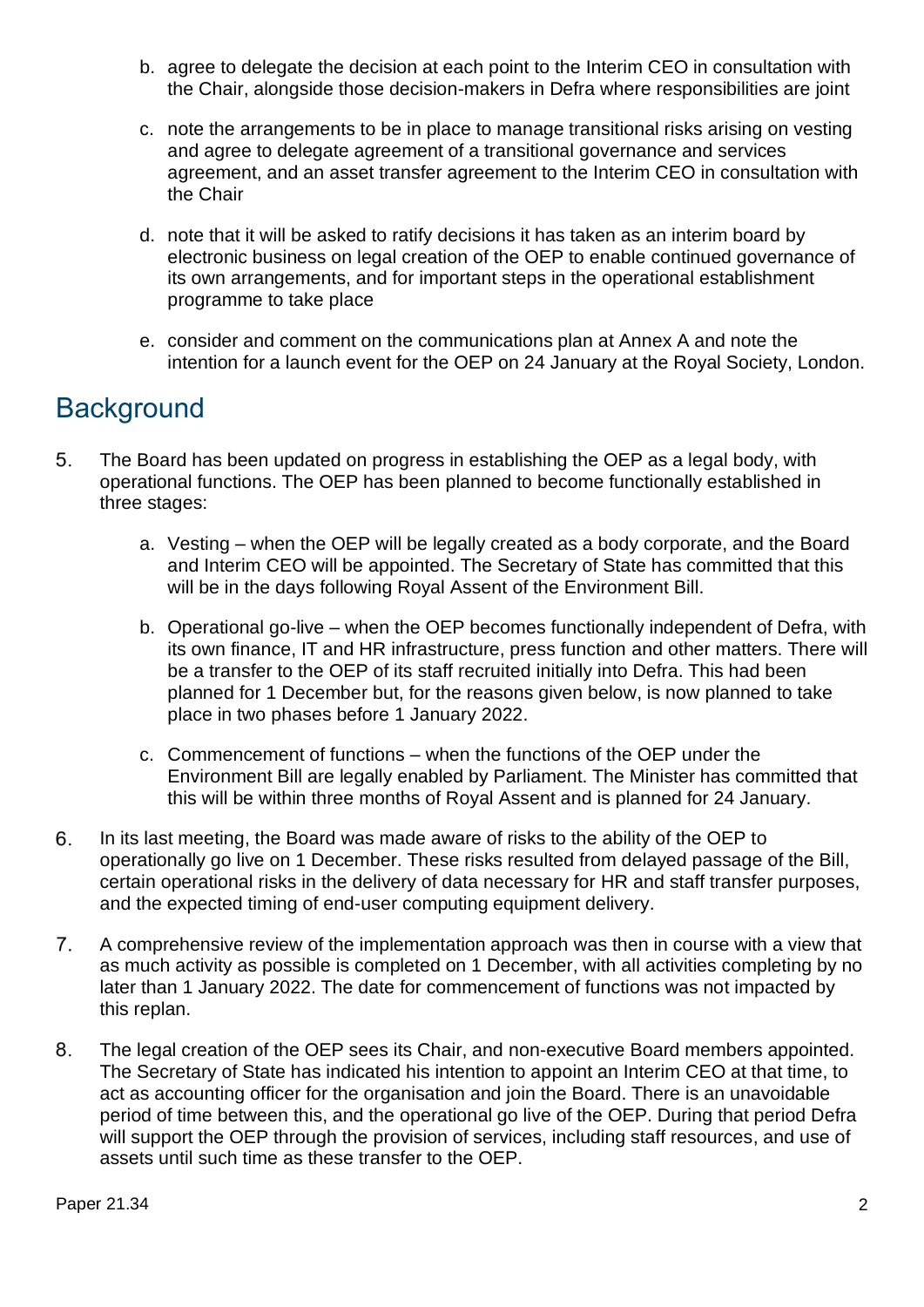- b. agree to delegate the decision at each point to the Interim CEO in consultation with the Chair, alongside those decision-makers in Defra where responsibilities are joint
- c. note the arrangements to be in place to manage transitional risks arising on vesting and agree to delegate agreement of a transitional governance and services agreement, and an asset transfer agreement to the Interim CEO in consultation with the Chair
- d. note that it will be asked to ratify decisions it has taken as an interim board by electronic business on legal creation of the OEP to enable continued governance of its own arrangements, and for important steps in the operational establishment programme to take place
- e. consider and comment on the communications plan at Annex A and note the intention for a launch event for the OEP on 24 January at the Royal Society, London.

# **Background**

- 5. The Board has been updated on progress in establishing the OEP as a legal body, with operational functions. The OEP has been planned to become functionally established in three stages:
	- a. Vesting when the OEP will be legally created as a body corporate, and the Board and Interim CEO will be appointed. The Secretary of State has committed that this will be in the days following Royal Assent of the Environment Bill.
	- b. Operational go-live when the OEP becomes functionally independent of Defra, with its own finance, IT and HR infrastructure, press function and other matters. There will be a transfer to the OEP of its staff recruited initially into Defra. This had been planned for 1 December but, for the reasons given below, is now planned to take place in two phases before 1 January 2022.
	- c. Commencement of functions when the functions of the OEP under the Environment Bill are legally enabled by Parliament. The Minister has committed that this will be within three months of Royal Assent and is planned for 24 January.
- In its last meeting, the Board was made aware of risks to the ability of the OEP to 6. operationally go live on 1 December. These risks resulted from delayed passage of the Bill, certain operational risks in the delivery of data necessary for HR and staff transfer purposes, and the expected timing of end-user computing equipment delivery.
- A comprehensive review of the implementation approach was then in course with a view that  $7<sub>1</sub>$ as much activity as possible is completed on 1 December, with all activities completing by no later than 1 January 2022. The date for commencement of functions was not impacted by this replan.
- 8. The legal creation of the OEP sees its Chair, and non-executive Board members appointed. The Secretary of State has indicated his intention to appoint an Interim CEO at that time, to act as accounting officer for the organisation and join the Board. There is an unavoidable period of time between this, and the operational go live of the OEP. During that period Defra will support the OEP through the provision of services, including staff resources, and use of assets until such time as these transfer to the OEP.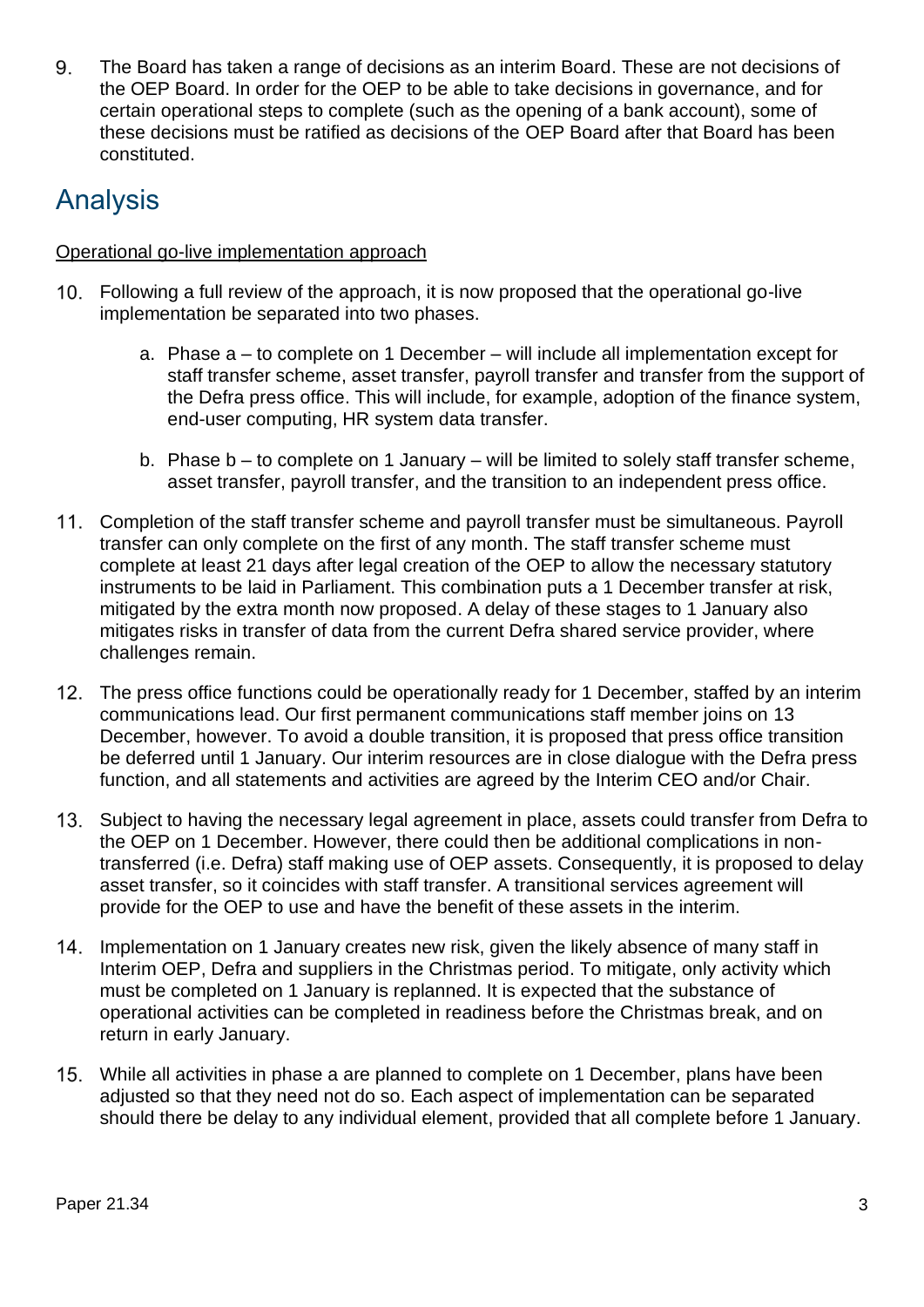The Board has taken a range of decisions as an interim Board. These are not decisions of 9. the OEP Board. In order for the OEP to be able to take decisions in governance, and for certain operational steps to complete (such as the opening of a bank account), some of these decisions must be ratified as decisions of the OEP Board after that Board has been constituted.

# Analysis

#### Operational go-live implementation approach

- Following a full review of the approach, it is now proposed that the operational go-live implementation be separated into two phases.
	- a. Phase a to complete on 1 December will include all implementation except for staff transfer scheme, asset transfer, payroll transfer and transfer from the support of the Defra press office. This will include, for example, adoption of the finance system, end-user computing, HR system data transfer.
	- b. Phase  $b t_0$  complete on 1 January will be limited to solely staff transfer scheme, asset transfer, payroll transfer, and the transition to an independent press office.
- Completion of the staff transfer scheme and payroll transfer must be simultaneous. Payroll transfer can only complete on the first of any month. The staff transfer scheme must complete at least 21 days after legal creation of the OEP to allow the necessary statutory instruments to be laid in Parliament. This combination puts a 1 December transfer at risk, mitigated by the extra month now proposed. A delay of these stages to 1 January also mitigates risks in transfer of data from the current Defra shared service provider, where challenges remain.
- 12. The press office functions could be operationally ready for 1 December, staffed by an interim communications lead. Our first permanent communications staff member joins on 13 December, however. To avoid a double transition, it is proposed that press office transition be deferred until 1 January. Our interim resources are in close dialogue with the Defra press function, and all statements and activities are agreed by the Interim CEO and/or Chair.
- 13. Subject to having the necessary legal agreement in place, assets could transfer from Defra to the OEP on 1 December. However, there could then be additional complications in nontransferred (i.e. Defra) staff making use of OEP assets. Consequently, it is proposed to delay asset transfer, so it coincides with staff transfer. A transitional services agreement will provide for the OEP to use and have the benefit of these assets in the interim.
- 14. Implementation on 1 January creates new risk, given the likely absence of many staff in Interim OEP, Defra and suppliers in the Christmas period. To mitigate, only activity which must be completed on 1 January is replanned. It is expected that the substance of operational activities can be completed in readiness before the Christmas break, and on return in early January.
- While all activities in phase a are planned to complete on 1 December, plans have been adjusted so that they need not do so. Each aspect of implementation can be separated should there be delay to any individual element, provided that all complete before 1 January.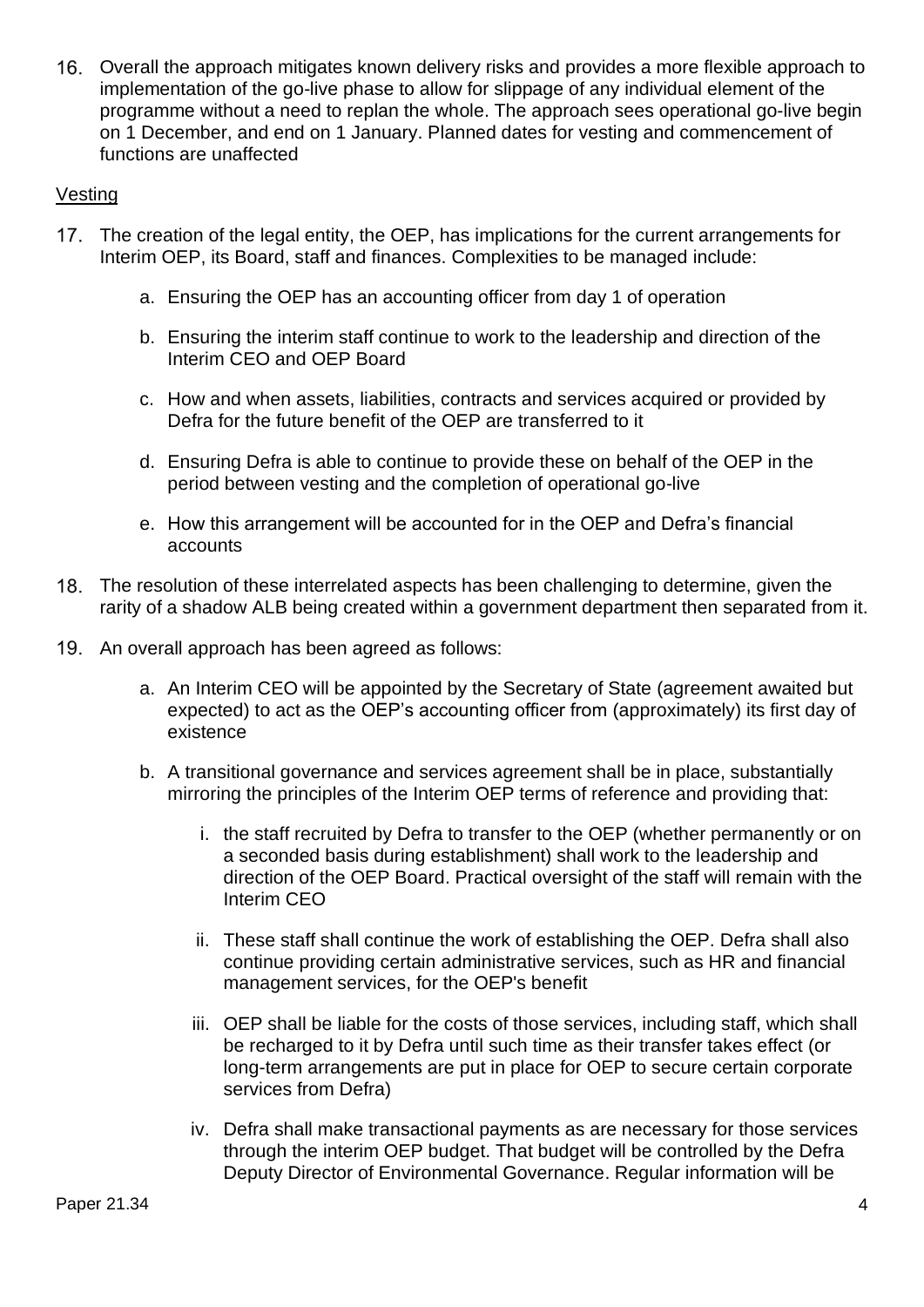Overall the approach mitigates known delivery risks and provides a more flexible approach to implementation of the go-live phase to allow for slippage of any individual element of the programme without a need to replan the whole. The approach sees operational go-live begin on 1 December, and end on 1 January. Planned dates for vesting and commencement of functions are unaffected

#### Vesting

- 17. The creation of the legal entity, the OEP, has implications for the current arrangements for Interim OEP, its Board, staff and finances. Complexities to be managed include:
	- a. Ensuring the OEP has an accounting officer from day 1 of operation
	- b. Ensuring the interim staff continue to work to the leadership and direction of the Interim CEO and OEP Board
	- c. How and when assets, liabilities, contracts and services acquired or provided by Defra for the future benefit of the OEP are transferred to it
	- d. Ensuring Defra is able to continue to provide these on behalf of the OEP in the period between vesting and the completion of operational go-live
	- e. How this arrangement will be accounted for in the OEP and Defra's financial accounts
- The resolution of these interrelated aspects has been challenging to determine, given the rarity of a shadow ALB being created within a government department then separated from it.
- 19. An overall approach has been agreed as follows:
	- a. An Interim CEO will be appointed by the Secretary of State (agreement awaited but expected) to act as the OEP's accounting officer from (approximately) its first day of existence
	- b. A transitional governance and services agreement shall be in place, substantially mirroring the principles of the Interim OEP terms of reference and providing that:
		- i. the staff recruited by Defra to transfer to the OEP (whether permanently or on a seconded basis during establishment) shall work to the leadership and direction of the OEP Board. Practical oversight of the staff will remain with the Interim CEO
		- ii. These staff shall continue the work of establishing the OEP. Defra shall also continue providing certain administrative services, such as HR and financial management services, for the OEP's benefit
		- iii. OEP shall be liable for the costs of those services, including staff, which shall be recharged to it by Defra until such time as their transfer takes effect (or long-term arrangements are put in place for OEP to secure certain corporate services from Defra)
		- iv. Defra shall make transactional payments as are necessary for those services through the interim OEP budget. That budget will be controlled by the Defra Deputy Director of Environmental Governance. Regular information will be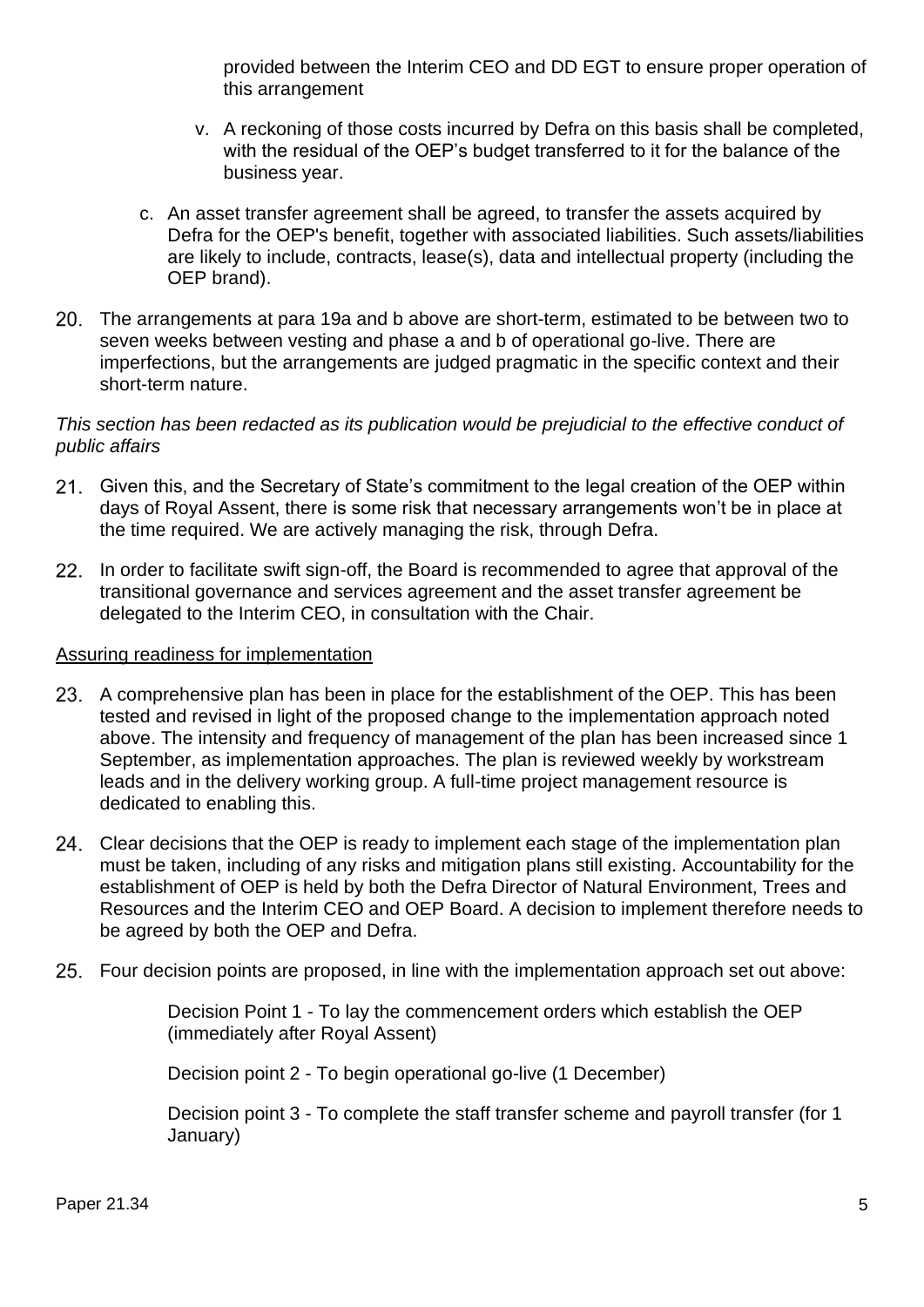provided between the Interim CEO and DD EGT to ensure proper operation of this arrangement

- v. A reckoning of those costs incurred by Defra on this basis shall be completed, with the residual of the OEP's budget transferred to it for the balance of the business year.
- c. An asset transfer agreement shall be agreed, to transfer the assets acquired by Defra for the OEP's benefit, together with associated liabilities. Such assets/liabilities are likely to include, contracts, lease(s), data and intellectual property (including the OEP brand).
- The arrangements at para 19a and b above are short-term, estimated to be between two to seven weeks between vesting and phase a and b of operational go-live. There are imperfections, but the arrangements are judged pragmatic in the specific context and their short-term nature.

#### *This section has been redacted as its publication would be prejudicial to the effective conduct of public affairs*

- Given this, and the Secretary of State's commitment to the legal creation of the OEP within days of Royal Assent, there is some risk that necessary arrangements won't be in place at the time required. We are actively managing the risk, through Defra.
- 22. In order to facilitate swift sign-off, the Board is recommended to agree that approval of the transitional governance and services agreement and the asset transfer agreement be delegated to the Interim CEO, in consultation with the Chair.

#### Assuring readiness for implementation

- 23. A comprehensive plan has been in place for the establishment of the OEP. This has been tested and revised in light of the proposed change to the implementation approach noted above. The intensity and frequency of management of the plan has been increased since 1 September, as implementation approaches. The plan is reviewed weekly by workstream leads and in the delivery working group. A full-time project management resource is dedicated to enabling this.
- 24. Clear decisions that the OEP is ready to implement each stage of the implementation plan must be taken, including of any risks and mitigation plans still existing. Accountability for the establishment of OEP is held by both the Defra Director of Natural Environment, Trees and Resources and the Interim CEO and OEP Board. A decision to implement therefore needs to be agreed by both the OEP and Defra.
- Four decision points are proposed, in line with the implementation approach set out above:

Decision Point 1 - To lay the commencement orders which establish the OEP (immediately after Royal Assent)

Decision point 2 - To begin operational go-live (1 December)

Decision point 3 - To complete the staff transfer scheme and payroll transfer (for 1 January)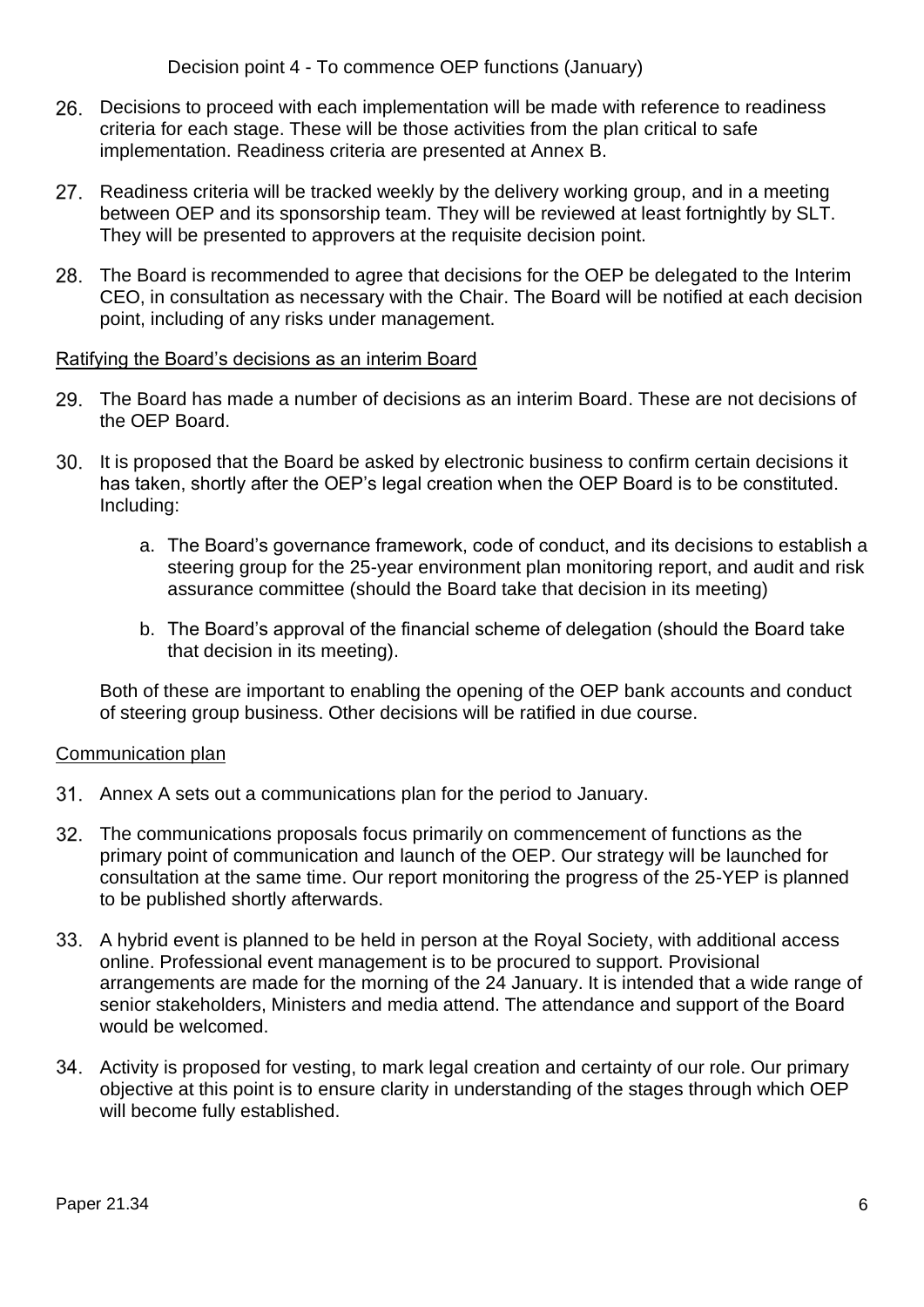Decision point 4 - To commence OEP functions (January)

- Decisions to proceed with each implementation will be made with reference to readiness criteria for each stage. These will be those activities from the plan critical to safe implementation. Readiness criteria are presented at Annex B.
- 27. Readiness criteria will be tracked weekly by the delivery working group, and in a meeting between OEP and its sponsorship team. They will be reviewed at least fortnightly by SLT. They will be presented to approvers at the requisite decision point.
- The Board is recommended to agree that decisions for the OEP be delegated to the Interim CEO, in consultation as necessary with the Chair. The Board will be notified at each decision point, including of any risks under management.

#### Ratifying the Board's decisions as an interim Board

- The Board has made a number of decisions as an interim Board. These are not decisions of the OEP Board.
- It is proposed that the Board be asked by electronic business to confirm certain decisions it has taken, shortly after the OEP's legal creation when the OEP Board is to be constituted. Including:
	- a. The Board's governance framework, code of conduct, and its decisions to establish a steering group for the 25-year environment plan monitoring report, and audit and risk assurance committee (should the Board take that decision in its meeting)
	- b. The Board's approval of the financial scheme of delegation (should the Board take that decision in its meeting).

Both of these are important to enabling the opening of the OEP bank accounts and conduct of steering group business. Other decisions will be ratified in due course.

#### Communication plan

- Annex A sets out a communications plan for the period to January.
- The communications proposals focus primarily on commencement of functions as the primary point of communication and launch of the OEP. Our strategy will be launched for consultation at the same time. Our report monitoring the progress of the 25-YEP is planned to be published shortly afterwards.
- A hybrid event is planned to be held in person at the Royal Society, with additional access online. Professional event management is to be procured to support. Provisional arrangements are made for the morning of the 24 January. It is intended that a wide range of senior stakeholders, Ministers and media attend. The attendance and support of the Board would be welcomed.
- 34. Activity is proposed for vesting, to mark legal creation and certainty of our role. Our primary objective at this point is to ensure clarity in understanding of the stages through which OEP will become fully established.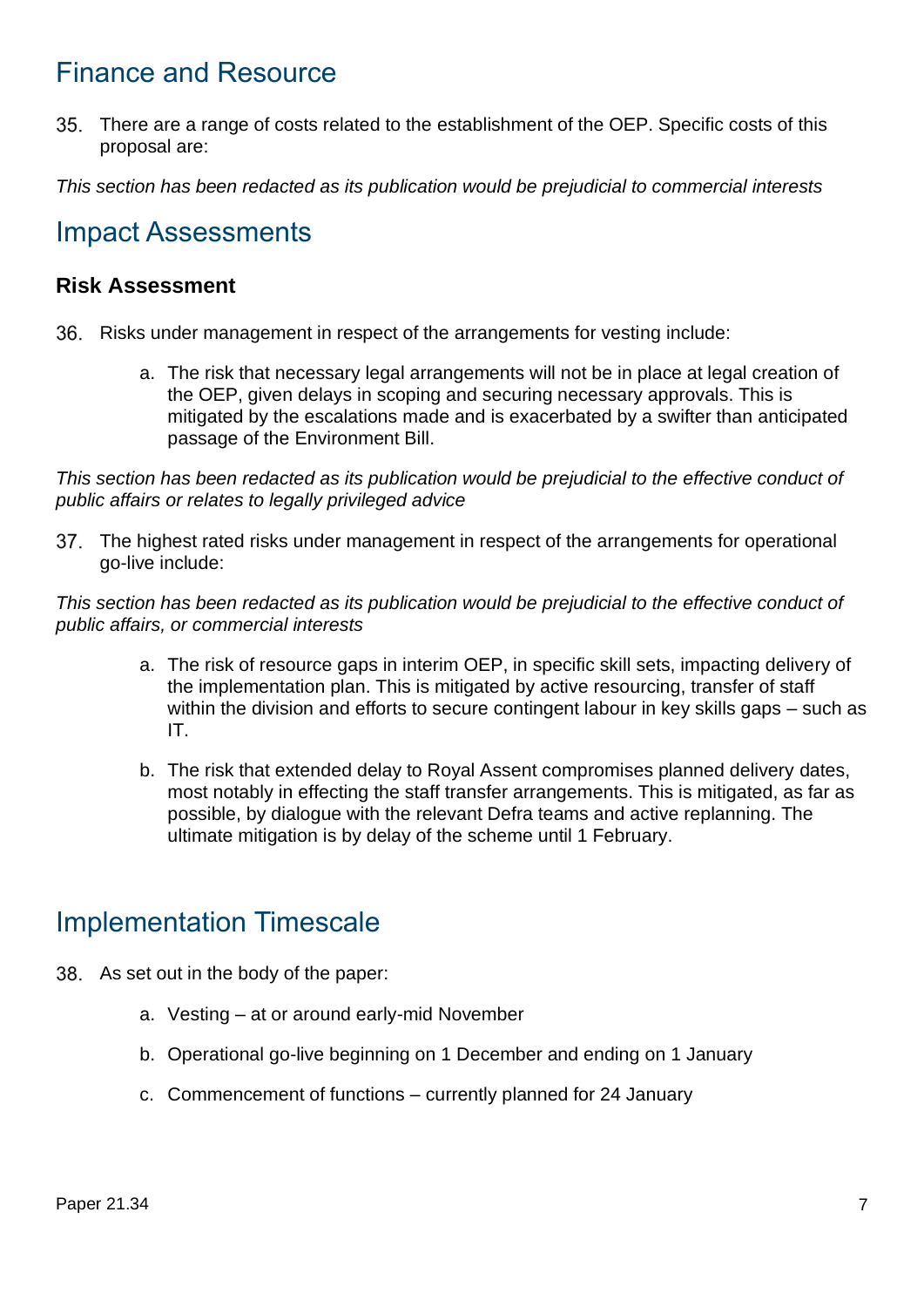## Finance and Resource

There are a range of costs related to the establishment of the OEP. Specific costs of this proposal are:

*This section has been redacted as its publication would be prejudicial to commercial interests*

### Impact Assessments

### **Risk Assessment**

- 36. Risks under management in respect of the arrangements for vesting include:
	- a. The risk that necessary legal arrangements will not be in place at legal creation of the OEP, given delays in scoping and securing necessary approvals. This is mitigated by the escalations made and is exacerbated by a swifter than anticipated passage of the Environment Bill.

*This section has been redacted as its publication would be prejudicial to the effective conduct of public affairs or relates to legally privileged advice*

37. The highest rated risks under management in respect of the arrangements for operational go-live include:

*This section has been redacted as its publication would be prejudicial to the effective conduct of public affairs, or commercial interests*

- a. The risk of resource gaps in interim OEP, in specific skill sets, impacting delivery of the implementation plan. This is mitigated by active resourcing, transfer of staff within the division and efforts to secure contingent labour in key skills gaps – such as IT.
- b. The risk that extended delay to Royal Assent compromises planned delivery dates, most notably in effecting the staff transfer arrangements. This is mitigated, as far as possible, by dialogue with the relevant Defra teams and active replanning. The ultimate mitigation is by delay of the scheme until 1 February.

## Implementation Timescale

- 38. As set out in the body of the paper:
	- a. Vesting at or around early-mid November
	- b. Operational go-live beginning on 1 December and ending on 1 January
	- c. Commencement of functions currently planned for 24 January